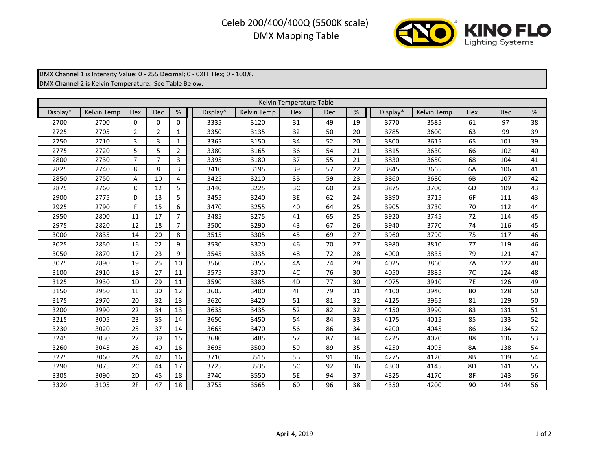## Celeb 200/400/400Q (5500K scale) DMX Mapping Table



DMX Channel 1 is Intensity Value: 0 - 255 Decimal; 0 - 0XFF Hex; 0 - 100%. DMX Channel 2 is Kelvin Temperature. See Table Below.

| Kelvin Temperature Table |                    |                |                |                |          |             |     |            |    |          |                    |           |            |    |
|--------------------------|--------------------|----------------|----------------|----------------|----------|-------------|-----|------------|----|----------|--------------------|-----------|------------|----|
| Display*                 | <b>Kelvin Temp</b> | Hex            | <b>Dec</b>     | %              | Display* | Kelvin Temp | Hex | <b>Dec</b> | %  | Display* | <b>Kelvin Temp</b> | Hex       | <b>Dec</b> | %  |
| 2700                     | 2700               | $\Omega$       | $\Omega$       | $\Omega$       | 3335     | 3120        | 31  | 49         | 19 | 3770     | 3585               | 61        | 97         | 38 |
| 2725                     | 2705               | $\overline{2}$ | $\overline{2}$ | 1              | 3350     | 3135        | 32  | 50         | 20 | 3785     | 3600               | 63        | 99         | 39 |
| 2750                     | 2710               | 3              | 3              | $\mathbf{1}$   | 3365     | 3150        | 34  | 52         | 20 | 3800     | 3615               | 65        | 101        | 39 |
| 2775                     | 2720               | 5              | 5              | 2              | 3380     | 3165        | 36  | 54         | 21 | 3815     | 3630               | 66        | 102        | 40 |
| 2800                     | 2730               | $\overline{7}$ | $\overline{7}$ | 3              | 3395     | 3180        | 37  | 55         | 21 | 3830     | 3650               | 68        | 104        | 41 |
| 2825                     | 2740               | 8              | 8              | 3              | 3410     | 3195        | 39  | 57         | 22 | 3845     | 3665               | 6A        | 106        | 41 |
| 2850                     | 2750               | A              | 10             | 4              | 3425     | 3210        | 3B  | 59         | 23 | 3860     | 3680               | 6B        | 107        | 42 |
| 2875                     | 2760               | C              | 12             | 5              | 3440     | 3225        | 3C  | 60         | 23 | 3875     | 3700               | 6D        | 109        | 43 |
| 2900                     | 2775               | D              | 13             | 5              | 3455     | 3240        | 3E  | 62         | 24 | 3890     | 3715               | 6F        | 111        | 43 |
| 2925                     | 2790               | F              | 15             | 6              | 3470     | 3255        | 40  | 64         | 25 | 3905     | 3730               | 70        | 112        | 44 |
| 2950                     | 2800               | 11             | 17             | $\overline{7}$ | 3485     | 3275        | 41  | 65         | 25 | 3920     | 3745               | 72        | 114        | 45 |
| 2975                     | 2820               | 12             | 18             | $\overline{7}$ | 3500     | 3290        | 43  | 67         | 26 | 3940     | 3770               | 74        | 116        | 45 |
| 3000                     | 2835               | 14             | 20             | 8              | 3515     | 3305        | 45  | 69         | 27 | 3960     | 3790               | 75        | 117        | 46 |
| 3025                     | 2850               | 16             | 22             | 9              | 3530     | 3320        | 46  | 70         | 27 | 3980     | 3810               | 77        | 119        | 46 |
| 3050                     | 2870               | 17             | 23             | 9              | 3545     | 3335        | 48  | 72         | 28 | 4000     | 3835               | 79        | 121        | 47 |
| 3075                     | 2890               | 19             | 25             | 10             | 3560     | 3355        | 4A  | 74         | 29 | 4025     | 3860               | 7A        | 122        | 48 |
| 3100                     | 2910               | 1B             | 27             | 11             | 3575     | 3370        | 4C  | 76         | 30 | 4050     | 3885               | 7C        | 124        | 48 |
| 3125                     | 2930               | 1D             | 29             | 11             | 3590     | 3385        | 4D  | 77         | 30 | 4075     | 3910               | <b>7E</b> | 126        | 49 |
| 3150                     | 2950               | 1E             | 30             | 12             | 3605     | 3400        | 4F  | 79         | 31 | 4100     | 3940               | 80        | 128        | 50 |
| 3175                     | 2970               | 20             | 32             | 13             | 3620     | 3420        | 51  | 81         | 32 | 4125     | 3965               | 81        | 129        | 50 |
| 3200                     | 2990               | 22             | 34             | 13             | 3635     | 3435        | 52  | 82         | 32 | 4150     | 3990               | 83        | 131        | 51 |
| 3215                     | 3005               | 23             | 35             | 14             | 3650     | 3450        | 54  | 84         | 33 | 4175     | 4015               | 85        | 133        | 52 |
| 3230                     | 3020               | 25             | 37             | 14             | 3665     | 3470        | 56  | 86         | 34 | 4200     | 4045               | 86        | 134        | 52 |
| 3245                     | 3030               | 27             | 39             | 15             | 3680     | 3485        | 57  | 87         | 34 | 4225     | 4070               | 88        | 136        | 53 |
| 3260                     | 3045               | 28             | 40             | 16             | 3695     | 3500        | 59  | 89         | 35 | 4250     | 4095               | 8A        | 138        | 54 |
| 3275                     | 3060               | 2A             | 42             | 16             | 3710     | 3515        | 5B  | 91         | 36 | 4275     | 4120               | 8B        | 139        | 54 |
| 3290                     | 3075               | 2C             | 44             | 17             | 3725     | 3535        | 5C  | 92         | 36 | 4300     | 4145               | 8D        | 141        | 55 |
| 3305                     | 3090               | 2D             | 45             | 18             | 3740     | 3550        | 5E  | 94         | 37 | 4325     | 4170               | 8F        | 143        | 56 |
| 3320                     | 3105               | 2F             | 47             | 18             | 3755     | 3565        | 60  | 96         | 38 | 4350     | 4200               | 90        | 144        | 56 |